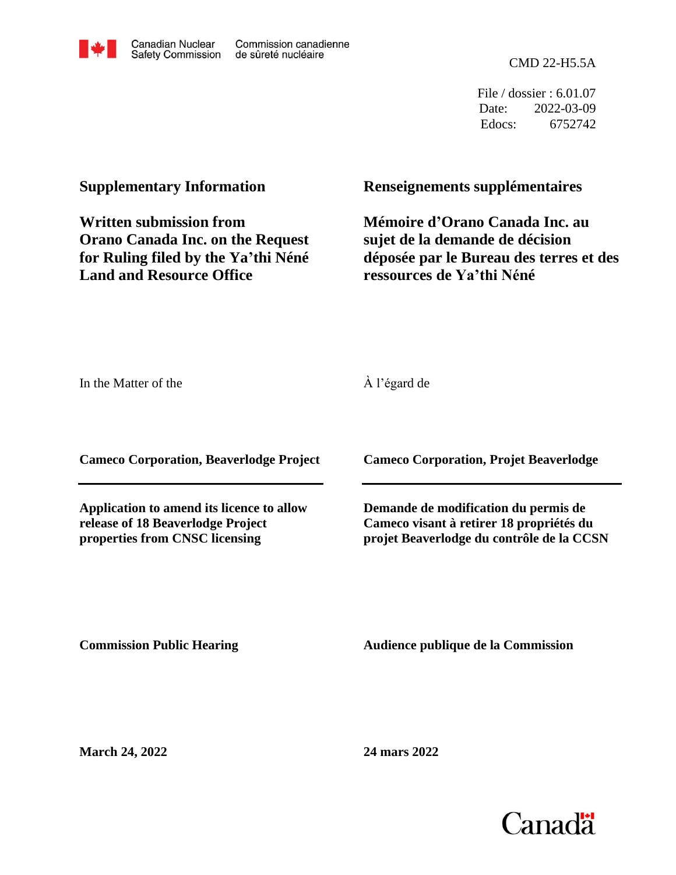

CMD 22-H5.5A

File / dossier : 6.01.07 Date: 2022-03-09 Edocs: 6752742

## **Supplementary Information**

**Written submission from Orano Canada Inc. on the Request for Ruling filed by the Ya'thi Néné Land and Resource Office**

## **Renseignements supplémentaires**

**Mémoire d'Orano Canada Inc. au sujet de la demande de décision déposée par le Bureau des terres et des ressources de Ya'thi Néné**

In the Matter of the

À l'égard de

**Cameco Corporation, Beaverlodge Project**

**Application to amend its licence to allow release of 18 Beaverlodge Project properties from CNSC licensing**

**Cameco Corporation, Projet Beaverlodge**

**Demande de modification du permis de Cameco visant à retirer 18 propriétés du projet Beaverlodge du contrôle de la CCSN**

**Commission Public Hearing**

**Audience publique de la Commission** 

**March 24, 2022**

**24 mars 2022**

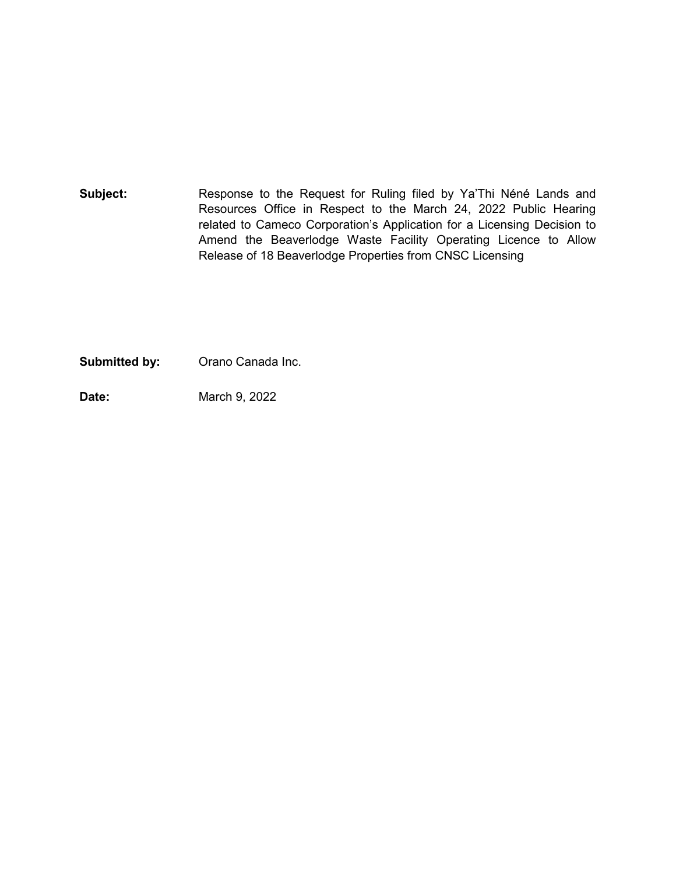Subject: Response to the Request for Ruling filed by Ya'Thi Néné Lands and Resources Office in Respect to the March 24, 2022 Public Hearing related to Cameco Corporation's Application for a Licensing Decision to Amend the Beaverlodge Waste Facility Operating Licence to Allow Release of 18 Beaverlodge Properties from CNSC Licensing

**Submitted by:** Orano Canada Inc.

**Date:** March 9, 2022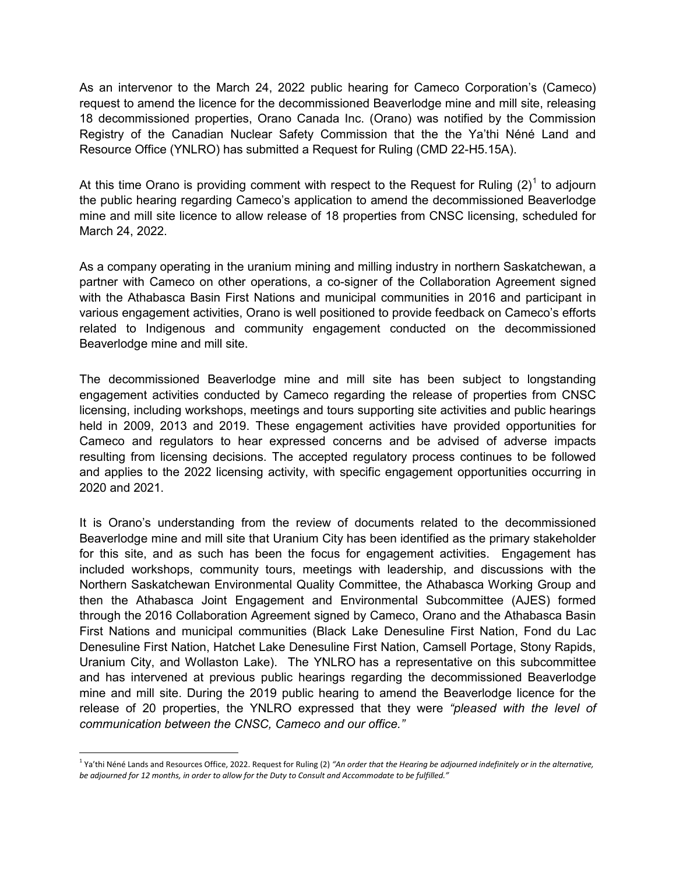As an intervenor to the March 24, 2022 public hearing for Cameco Corporation's (Cameco) request to amend the licence for the decommissioned Beaverlodge mine and mill site, releasing 18 decommissioned properties, Orano Canada Inc. (Orano) was notified by the Commission Registry of the Canadian Nuclear Safety Commission that the the Ya'thi Néné Land and Resource Office (YNLRO) has submitted a Request for Ruling (CMD 22-H5.15A).

At this time Orano is providing comment with respect to the Request for Ruling  $(2)^1$  $(2)^1$  to adjourn the public hearing regarding Cameco's application to amend the decommissioned Beaverlodge mine and mill site licence to allow release of 18 properties from CNSC licensing, scheduled for March 24, 2022.

As a company operating in the uranium mining and milling industry in northern Saskatchewan, a partner with Cameco on other operations, a co-signer of the Collaboration Agreement signed with the Athabasca Basin First Nations and municipal communities in 2016 and participant in various engagement activities, Orano is well positioned to provide feedback on Cameco's efforts related to Indigenous and community engagement conducted on the decommissioned Beaverlodge mine and mill site.

The decommissioned Beaverlodge mine and mill site has been subject to longstanding engagement activities conducted by Cameco regarding the release of properties from CNSC licensing, including workshops, meetings and tours supporting site activities and public hearings held in 2009, 2013 and 2019. These engagement activities have provided opportunities for Cameco and regulators to hear expressed concerns and be advised of adverse impacts resulting from licensing decisions. The accepted regulatory process continues to be followed and applies to the 2022 licensing activity, with specific engagement opportunities occurring in 2020 and 2021.

It is Orano's understanding from the review of documents related to the decommissioned Beaverlodge mine and mill site that Uranium City has been identified as the primary stakeholder for this site, and as such has been the focus for engagement activities. Engagement has included workshops, community tours, meetings with leadership, and discussions with the Northern Saskatchewan Environmental Quality Committee, the Athabasca Working Group and then the Athabasca Joint Engagement and Environmental Subcommittee (AJES) formed through the 2016 Collaboration Agreement signed by Cameco, Orano and the Athabasca Basin First Nations and municipal communities (Black Lake Denesuline First Nation, Fond du Lac Denesuline First Nation, Hatchet Lake Denesuline First Nation, Camsell Portage, Stony Rapids, Uranium City, and Wollaston Lake). The YNLRO has a representative on this subcommittee and has intervened at previous public hearings regarding the decommissioned Beaverlodge mine and mill site. During the 2019 public hearing to amend the Beaverlodge licence for the release of 20 properties, the YNLRO expressed that they were *"pleased with the level of communication between the CNSC, Cameco and our office."*

<span id="page-2-0"></span><sup>&</sup>lt;sup>1</sup> Ya'thi Néné Lands and Resources Office, 2022. Request for Ruling (2) "An order that the Hearing be adjourned indefinitely or in the alternative, *be adjourned for 12 months, in order to allow for the Duty to Consult and Accommodate to be fulfilled."*